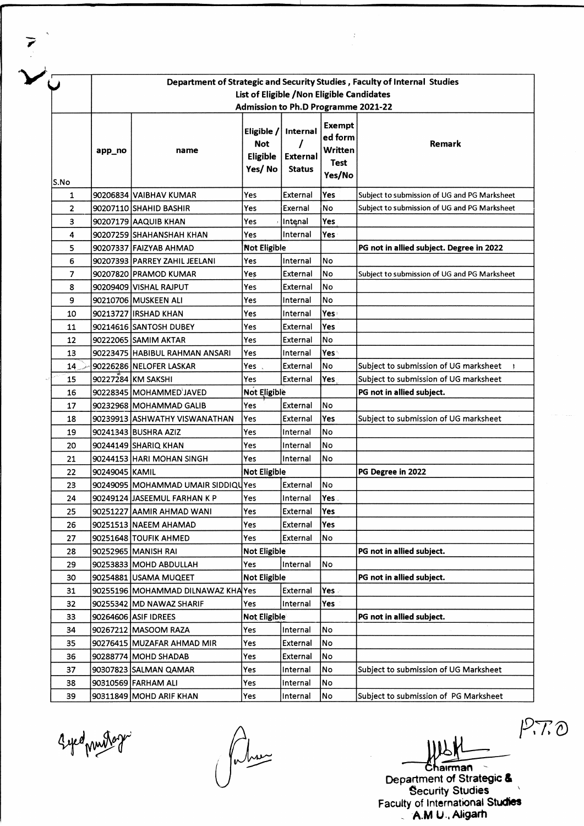|      | Department of Strategic and Security Studies, Faculty of Internal Studies         |                                    |                                      |                             |                                                    |                                              |  |  |  |  |  |
|------|-----------------------------------------------------------------------------------|------------------------------------|--------------------------------------|-----------------------------|----------------------------------------------------|----------------------------------------------|--|--|--|--|--|
|      | List of Eligible / Non Eligible Candidates<br>Admission to Ph.D Programme 2021-22 |                                    |                                      |                             |                                                    |                                              |  |  |  |  |  |
|      | app_no                                                                            | name                               | Eligible /<br><b>Not</b><br>Eligible | Internal<br><b>External</b> | <b>Exempt</b><br>ed form<br>Written<br><b>Test</b> | Remark                                       |  |  |  |  |  |
|      |                                                                                   |                                    | Yes/No                               | <b>Status</b>               | Yes/No                                             |                                              |  |  |  |  |  |
| S.No |                                                                                   |                                    |                                      |                             |                                                    |                                              |  |  |  |  |  |
| 1    |                                                                                   | 90206834 VAIBHAV KUMAR             | Yes                                  | External                    | Yes                                                | Subject to submission of UG and PG Marksheet |  |  |  |  |  |
| 2    |                                                                                   | 90207110 SHAHID BASHIR             | Yes                                  | Exernal                     | No                                                 | Subject to submission of UG and PG Marksheet |  |  |  |  |  |
| 3    |                                                                                   | 90207179 AAQUIB KHAN               | Yes                                  | Intenal                     | Yes                                                |                                              |  |  |  |  |  |
| 4    |                                                                                   | 90207259 SHAHANSHAH KHAN           | Yes                                  | Internal                    | Yes                                                |                                              |  |  |  |  |  |
| 5    |                                                                                   | 90207337 FAIZYAB AHMAD             | <b>Not Eligible</b>                  |                             |                                                    | PG not in allied subject. Degree in 2022     |  |  |  |  |  |
| 6    |                                                                                   | 90207393  PARREY ZAHIL JEELANI     | Yes                                  | Internal                    | No                                                 |                                              |  |  |  |  |  |
| 7    |                                                                                   | 90207820 PRAMOD KUMAR              | Yes                                  | External                    | No                                                 | Subject to submission of UG and PG Marksheet |  |  |  |  |  |
| 8    |                                                                                   | 90209409 VISHAL RAJPUT             | Yes                                  | <b>External</b>             | No                                                 |                                              |  |  |  |  |  |
| 9    |                                                                                   | 90210706 MUSKEEN ALI               | Yes                                  | Internal                    | No                                                 |                                              |  |  |  |  |  |
| 10   |                                                                                   | 90213727 IRSHAD KHAN               | Yes                                  | Internal                    | Yes:                                               |                                              |  |  |  |  |  |
| 11   |                                                                                   | 90214616 SANTOSH DUBEY             | Yes                                  | External                    | Yes                                                |                                              |  |  |  |  |  |
| 12   |                                                                                   | 90222065 SAMIM AKTAR               | Yes                                  | External                    | No                                                 |                                              |  |  |  |  |  |
| 13   |                                                                                   | 90223475 HABIBUL RAHMAN ANSARI     | Yes                                  | Internal                    | Yes \                                              |                                              |  |  |  |  |  |
| 14   |                                                                                   | 90226286 NELOFER LASKAR            | Yes,                                 | External                    | No                                                 | Subject to submission of UG marksheet        |  |  |  |  |  |
| 15   |                                                                                   | 90227284 KM SAKSHI                 | Yes                                  | External                    | Yes                                                | Subject to submission of UG marksheet        |  |  |  |  |  |
| 16   |                                                                                   | 90228345 MOHAMMED JAVED            | Not Eligible                         |                             |                                                    | PG not in allied subject.                    |  |  |  |  |  |
| 17   |                                                                                   | 90232968 MOHAMMAD GALIB            | Yes                                  | External                    | No                                                 |                                              |  |  |  |  |  |
| 18   |                                                                                   | 90239913 ASHWATHY VISWANATHAN      | Yes                                  | External                    | Yes                                                | Subject to submission of UG marksheet        |  |  |  |  |  |
| 19   |                                                                                   | 90241343 BUSHRA AZIZ               | Yes                                  | Internal                    | No                                                 |                                              |  |  |  |  |  |
| 20   |                                                                                   | 90244149 SHARIQ KHAN               | Yes                                  | Internal                    | No                                                 |                                              |  |  |  |  |  |
| 21   |                                                                                   | 90244153 HARI MOHAN SINGH          | Yes                                  | Internal                    | No                                                 |                                              |  |  |  |  |  |
| 22   | 90249045 KAMIL                                                                    |                                    | Not Eligible                         |                             |                                                    | PG Degree in 2022                            |  |  |  |  |  |
| 23   |                                                                                   | 90249095 MOHAMMAD UMAIR SIDDIQUYes |                                      | External                    | No                                                 |                                              |  |  |  |  |  |
| 24   |                                                                                   | 90249124 JASEEMUL FARHAN K P       | Yes                                  | Internal                    | Yes.                                               |                                              |  |  |  |  |  |
| 25   |                                                                                   | 90251227 AAMIR AHMAD WANI          | Yes                                  | External                    | Yes                                                |                                              |  |  |  |  |  |
| 26   |                                                                                   | 90251513 NAEEM AHAMAD              | Yes                                  | External                    | Yes                                                |                                              |  |  |  |  |  |
| 27   |                                                                                   | 90251648 TOUFIK AHMED              | Yes.                                 | External                    | No                                                 |                                              |  |  |  |  |  |
| 28   |                                                                                   | 90252965 MANISH RAI                | Not Eligible                         |                             |                                                    | PG not in allied subject.                    |  |  |  |  |  |
| 29   |                                                                                   | 90253833 MOHD ABDULLAH             | Yes                                  | Internal                    | No.                                                |                                              |  |  |  |  |  |
| 30   |                                                                                   | 90254881 USAMA MUQEET              | <b>Not Eligible</b>                  |                             |                                                    | PG not in allied subject.                    |  |  |  |  |  |
| 31   |                                                                                   | 90255196 MOHAMMAD DILNAWAZ KHA Yes |                                      | External                    | Yes.                                               |                                              |  |  |  |  |  |
| 32   |                                                                                   | 90255342 MD NAWAZ SHARIF           | Yes                                  | Internal                    | Yes                                                |                                              |  |  |  |  |  |
| 33   |                                                                                   | 90264606 ASIF IDREES               | Not Eligible                         |                             |                                                    | PG not in allied subject.                    |  |  |  |  |  |
| 34   |                                                                                   | 90267212 MASOOM RAZA               | Yes                                  | Internal                    | lNo                                                |                                              |  |  |  |  |  |
| 35   |                                                                                   | 90276415 MUZAFAR AHMAD MIR         | Yes                                  | External                    | No                                                 |                                              |  |  |  |  |  |
| 36   |                                                                                   | 90288774 MOHD SHADAB               | Yes                                  | External                    | No                                                 |                                              |  |  |  |  |  |
| 37   |                                                                                   | 90307823 SALMAN QAMAR              | Yes                                  | Internal                    | No                                                 | Subject to submission of UG Marksheet        |  |  |  |  |  |
| 38   |                                                                                   | 90310569 FARHAM ALI                | Yes                                  | Internal                    | No                                                 |                                              |  |  |  |  |  |
| 39   |                                                                                   | 90311849 MOHD ARIF KHAN            | Yes                                  | Internal                    | No                                                 | Subject to submission of PG Marksheet        |  |  |  |  |  |

Syed puistoze

**Department of Strategic & Security Studies ' Faculty of International Studies " A M U , Aligarh**

 $P.70$